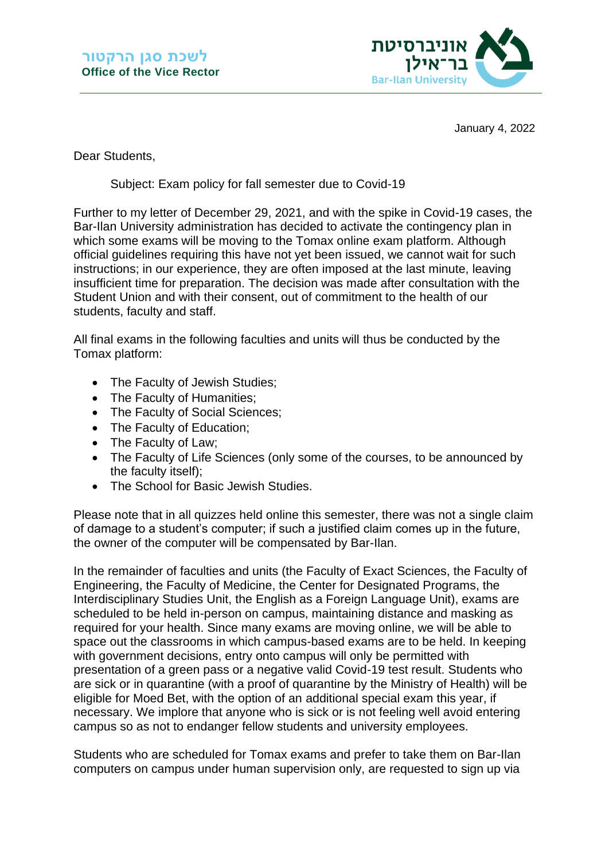

January 4, 2022

Dear Students,

Subject: Exam policy for fall semester due to Covid-19

Further to my letter of December 29, 2021, and with the spike in Covid-19 cases, the Bar-Ilan University administration has decided to activate the contingency plan in which some exams will be moving to the Tomax online exam platform. Although official guidelines requiring this have not yet been issued, we cannot wait for such instructions; in our experience, they are often imposed at the last minute, leaving insufficient time for preparation. The decision was made after consultation with the Student Union and with their consent, out of commitment to the health of our students, faculty and staff.

All final exams in the following faculties and units will thus be conducted by the Tomax platform:

- The Faculty of Jewish Studies;
- The Faculty of Humanities;
- The Faculty of Social Sciences;
- The Faculty of Education;
- The Faculty of Law;
- The Faculty of Life Sciences (only some of the courses, to be announced by the faculty itself);
- The School for Basic Jewish Studies.

Please note that in all quizzes held online this semester, there was not a single claim of damage to a student's computer; if such a justified claim comes up in the future, the owner of the computer will be compensated by Bar-Ilan.

In the remainder of faculties and units (the Faculty of Exact Sciences, the Faculty of Engineering, the Faculty of Medicine, the Center for Designated Programs, the Interdisciplinary Studies Unit, the English as a Foreign Language Unit), exams are scheduled to be held in-person on campus, maintaining distance and masking as required for your health. Since many exams are moving online, we will be able to space out the classrooms in which campus-based exams are to be held. In keeping with government decisions, entry onto campus will only be permitted with presentation of a green pass or a negative valid Covid-19 test result. Students who are sick or in quarantine (with a proof of quarantine by the Ministry of Health) will be eligible for Moed Bet, with the option of an additional special exam this year, if necessary. We implore that anyone who is sick or is not feeling well avoid entering campus so as not to endanger fellow students and university employees.

Students who are scheduled for Tomax exams and prefer to take them on Bar-Ilan computers on campus under human supervision only, are requested to sign up via